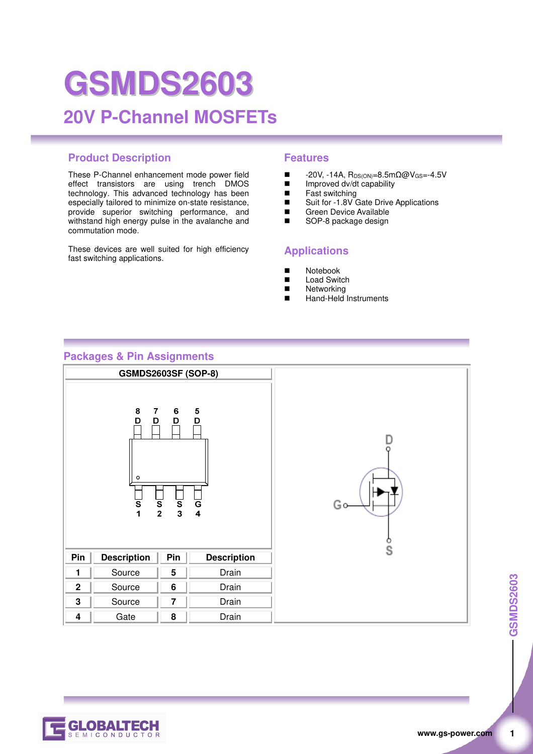# **GSMDS2603 20V P-Channel MOSFETs**

### **Product Description Features**

These P-Channel enhancement mode power field effect transistors are using trench DMOS technology. This advanced technology has been especially tailored to minimize on-state resistance, provide superior switching performance, and withstand high energy pulse in the avalanche and commutation mode.

These devices are well suited for high efficiency fast switching applications.

- $\blacksquare$  -20V, -14A,  $R_{DS(ON)}=8.5$ mΩ@V<sub>GS</sub>=-4.5V<br>
Improved dy/dt capability
- Improved dv/dt capability<br>■ Fast switching
- $\blacksquare$  Fast switching
- Suit for -1.8V Gate Drive Applications<br>■ Green Device Available
- Green Device Available<br>
SOP-8 package design SOP-8 package design
- 

#### **Applications**

- Notebook
- Load Switch
- **Networking**
- Hand-Held Instruments

#### **Packages & Pin Assignments**



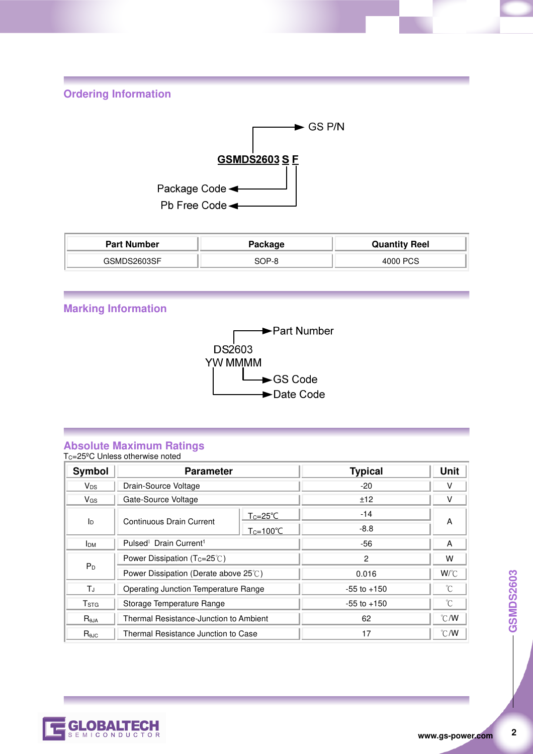**Ordering Information** 



| <b>Part Number</b> | Package | <b>Quantity Reel</b> |
|--------------------|---------|----------------------|
| GSMDS2603SF        | 3OP-8   | 4000 PCS             |

#### **Marking Information**



#### **Absolute Maximum Ratings**  T<sub>C</sub>=25<sup>°</sup>C Unless otherwise noted

**Symbol Parameter Typical Unit** V<sub>DS</sub> | Drain-Source Voltage -20 V V<sub>GS</sub> Gate-Source Voltage  $\downarrow$  12  $\downarrow$  12 V  $I_D$  Continuous Drain Current  $\frac{1}{T_C=25^{\circ}C}$  -10<sup>o</sup> -14 A  $Tc=100^{\circ}C$  $I<sub>DM</sub>$  Pulsed<sup>1</sup> Drain Current<sup>1</sup> -56 A  $P_D$ Power Dissipation (Tc=25℃) and the control of the control of the control of the control of the control of the control of the control of the control of the control of the control of the control of the control of the contro Power Dissipation (Derate above 25℃) 0.016 M/℃ T<sub>J</sub> | Operating Junction Temperature Range | 35 to +150 | ℃ T<sub>STG</sub> Storage Temperature Range -55 to +150  $\degree$ R<sub>θJA</sub> | Thermal Resistance-Junction to Ambient | 62 62 €/W Reun **Resistance Junction to Case** 17 17 17 C/W



**2**<br>**2**<br>**2** 

 $\overline{2}$ 

**GSMDS2603**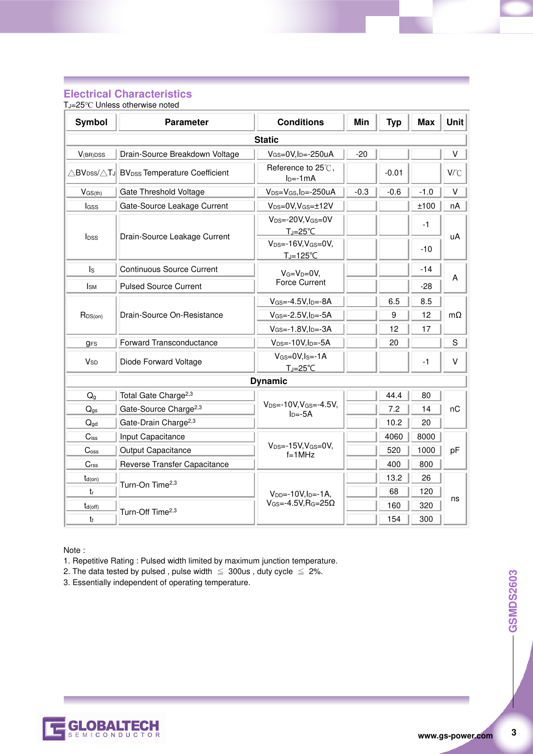#### **Electrical Characteristics**

TJ=25℃ Unless otherwise noted

| Symbol                  | <b>Parameter</b>                                                                         | <b>Conditions</b>                                              | <b>Min</b> | <b>Typ</b> | <b>Max</b> | <b>Unit</b>  |  |
|-------------------------|------------------------------------------------------------------------------------------|----------------------------------------------------------------|------------|------------|------------|--------------|--|
| <b>Static</b>           |                                                                                          |                                                                |            |            |            |              |  |
| $V_{(BR)DSS}$           | Drain-Source Breakdown Voltage                                                           | $V_{GS}=0V, I_D=-250uA$                                        | $-20$      |            |            | V            |  |
|                         | $\triangle$ BV <sub>DSS</sub> / $\triangle$ TJ BV <sub>DSS</sub> Temperature Coefficient | Reference to 25°C,<br>$ID=-1mA$                                |            | $-0.01$    |            | $V^{\circ}C$ |  |
| $V$ GS(th)              | Gate Threshold Voltage                                                                   | $V_{DS}=V_{GS}$ , I <sub>D</sub> =-250uA                       | $-0.3$     | $-0.6$     | $-1.0$     | V            |  |
| <b>l</b> GSS            | Gate-Source Leakage Current                                                              | $V_{DS}=0V$ , $V_{GS}=\pm 12V$                                 |            |            | ±100       | nA           |  |
| <b>I</b> <sub>DSS</sub> |                                                                                          | $V_{DS} = -20V$ , $V_{GS} = 0V$<br>$T_J = 25^{\circ}C$         |            |            | $-1$       | uA           |  |
|                         | Drain-Source Leakage Current                                                             | $V_{DS} = -16V, V_{GS} = 0V,$<br>$T_{\rm J}$ =125 $^{\circ}$ C |            |            | $-10$      |              |  |
| $\mathsf{ls}$           | <b>Continuous Source Current</b>                                                         | $V_G=V_D=0V$ ,                                                 |            |            | -14        |              |  |
| <b>I</b> sm             | <b>Pulsed Source Current</b>                                                             | <b>Force Current</b>                                           |            |            | $-28$      | A            |  |
| $R_{DS(on)}$            | Drain-Source On-Resistance                                                               | $V$ <sub>GS</sub> =-4.5V, $ID=$ -8A                            |            | 6.5        | 8.5        |              |  |
|                         |                                                                                          | $V$ <sub>GS</sub> =-2.5V, $I_D$ =-5A                           |            | 9          | 12         | mΩ           |  |
|                         |                                                                                          | $V_{GS} = -1.8V, I_D = -3A$                                    |            | 12         | 17         |              |  |
| <b>gFS</b>              | <b>Forward Transconductance</b>                                                          | $V_{DS} = -10V, I_D = -5A$                                     |            | 20         |            | S            |  |
| <b>V<sub>SD</sub></b>   | Diode Forward Voltage                                                                    | $V_{GS}=0V, I_{S}=-1A$<br>$T_i = 25^{\circ}C$                  |            |            | $-1$       | v            |  |
|                         |                                                                                          | <b>Dynamic</b>                                                 |            |            |            |              |  |
| $Q_g$                   | Total Gate Charge <sup>2,3</sup>                                                         |                                                                |            | 44.4       | 80         |              |  |
| $Q_{gs}$                | Gate-Source Charge <sup>2,3</sup>                                                        | $V_{DS} = -10V, V_{GS} = -4.5V,$<br>$In=-5A$                   |            | 7.2        | 14         | пC           |  |
| $Q_{gd}$                | Gate-Drain Charge <sup>2,3</sup>                                                         |                                                                |            | 10.2       | 20         |              |  |
| $C$ <sub>iss</sub>      | Input Capacitance                                                                        |                                                                |            | 4060       | 8000       | pF           |  |
| C <sub>oss</sub>        | Output Capacitance                                                                       | $V_{DS} = -15V$ , $V_{GS} = 0V$ ,<br>$f=1$ MHz                 |            | 520        | 1000       |              |  |
| C <sub>rss</sub>        | Reverse Transfer Capacitance                                                             |                                                                |            | 400        | 800        |              |  |
| $t_{d(on)}$             | Turn-On Time <sup>2,3</sup>                                                              |                                                                |            | 13.2       | 26         | ns           |  |
| $t_{r}$                 |                                                                                          | $V_{DD} = -10V, I_D = -1A$                                     |            | 68         | 120        |              |  |
| $t_{d(off)}$            | Turn-Off Time <sup>2,3</sup>                                                             | $V_{GS} = -4.5V$ , R <sub>G</sub> =25 $\Omega$                 |            | 160        | 320        |              |  |
| tŧ                      |                                                                                          |                                                                |            | 154        | 300        |              |  |

Note :

1. Repetitive Rating : Pulsed width limited by maximum junction temperature.

2. The data tested by pulsed, pulse width  $\leq 300$ us, duty cycle  $\leq 2\%$ .

3. Essentially independent of operating temperature.



 $\overline{\mathbf{3}}$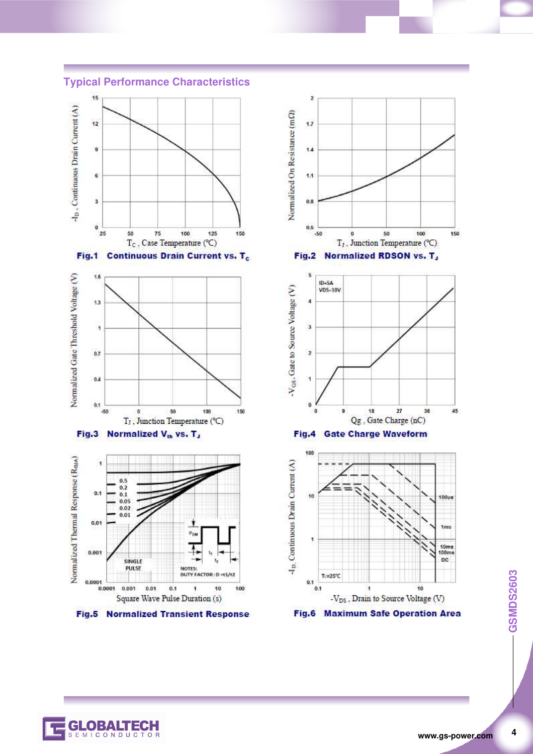**Typical Performance Characteristics** 









C

MICONDUCTOR



**GSMDS2603 4 GSMDS2603**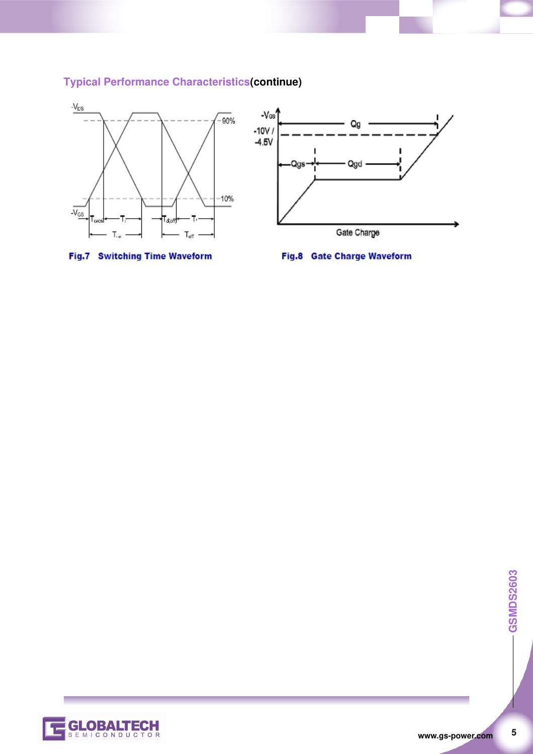

# **Typical Performance Characteristics(continue)**





 $\overline{\mathbf{5}}$ 

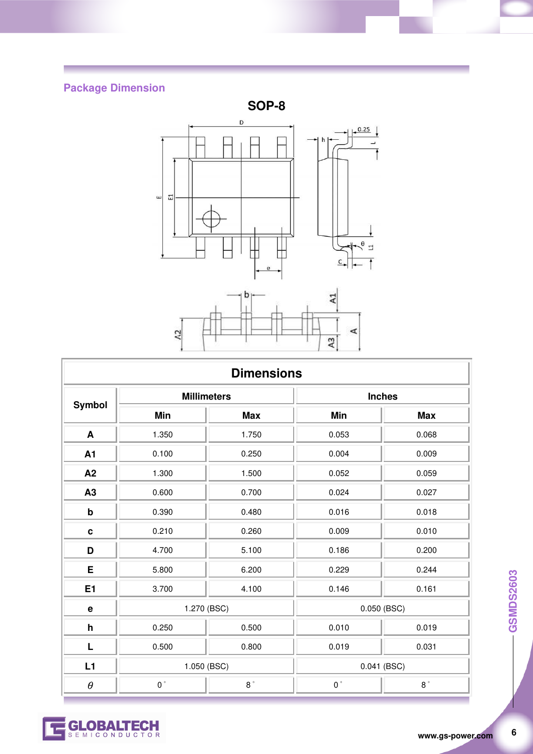# **Package Dimension**



| <b>Dimensions</b>         |                    |               |               |               |  |
|---------------------------|--------------------|---------------|---------------|---------------|--|
| Symbol                    | <b>Millimeters</b> |               | <b>Inches</b> |               |  |
|                           | Min                | <b>Max</b>    | Min           | <b>Max</b>    |  |
| A                         | 1.350              | 1.750         | 0.053         | 0.068         |  |
| A1                        | 0.100              | 0.250         | 0.004         | 0.009         |  |
| A2                        | 1.300              | 1.500         | 0.052         | 0.059         |  |
| A3                        | 0.600              | 0.700         | 0.024         | 0.027         |  |
| $\boldsymbol{\mathsf{b}}$ | 0.390              | 0.480         | 0.016         | 0.018         |  |
| $\mathbf c$               | 0.210              | 0.260         | 0.009         | 0.010         |  |
| D                         | 4.700              | 5.100         | 0.186         | 0.200         |  |
| E                         | 5.800              | 6.200         | 0.229         | 0.244         |  |
| E <sub>1</sub>            | 3.700              | 4.100         | 0.146         | 0.161         |  |
| $\mathbf e$               | 1.270 (BSC)        |               | 0.050 (BSC)   |               |  |
| $\mathsf{h}$              | 0.250              | 0.500         | 0.010         | 0.019         |  |
| L                         | 0.500              | 0.800         | 0.019         | 0.031         |  |
| L1                        | 1.050 (BSC)        |               | 0.041 (BSC)   |               |  |
| $\theta$                  | $0\,^{\circ}$      | $8\,^{\circ}$ | $0\,^{\circ}$ | $8\,^{\circ}$ |  |



 $\boldsymbol{6}$ 

**GLOBALTECH**